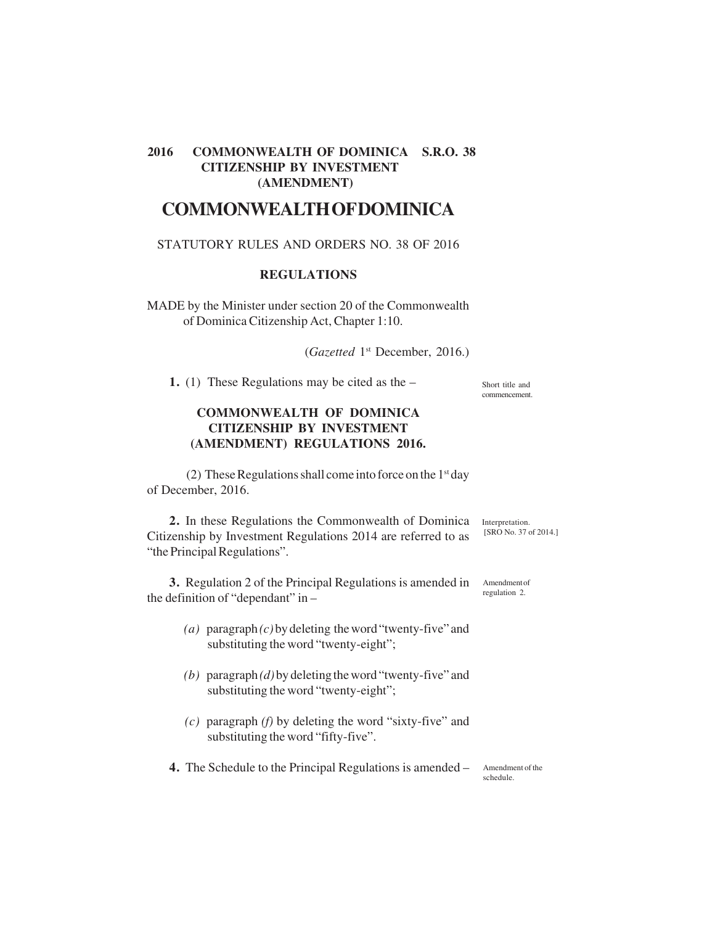## **2016 COMMONWEALTH OF DOMINICA S.R.O. 38 CITIZENSHIP BY INVESTMENT (AMENDMENT)**

# **COMMONWEALTH OF DOMINICA**

#### STATUTORY RULES AND ORDERS NO. 38 OF 2016

#### **REGULATIONS**

MADE by the Minister under section 20 of the Commonwealth of Dominica Citizenship Act, Chapter 1:10.

(*Gazetted* 1st December, 2016.)

**1.** (1) These Regulations may be cited as the –

Short title and commencement.

[SRO No. 37 of 2014.]

regulation 2.

## **COMMONWEALTH OF DOMINICA CITIZENSHIP BY INVESTMENT (AMENDMENT) REGULATIONS 2016.**

(2) These Regulations shall come into force on the  $1<sup>st</sup>$  day of December, 2016.

2. In these Regulations the Commonwealth of Dominica Interpretation. Citizenship by Investment Regulations 2014 are referred to as "the Principal Regulations".

**3.** Regulation 2 of the Principal Regulations is amended in the definition of "dependant" in – Amendment of

- *(a)* paragraph *(c)* by deleting the word "twenty-five" and substituting the word "twenty-eight";
- *(b)* paragraph *(d)* by deleting the word "twenty-five" and substituting the word "twenty-eight";
- *(c)* paragraph *(f)* by deleting the word "sixty-five" and substituting the word "fifty-five".

**4.** The Schedule to the Principal Regulations is amended – Amendment of the

schedule.